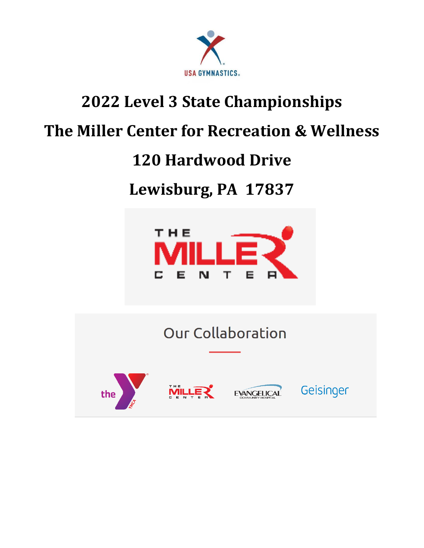

## **2022 Level 3 State Championships**

### **The Miller Center for Recreation & Wellness**

### **120 Hardwood Drive**

## **Lewisburg, PA 17837**



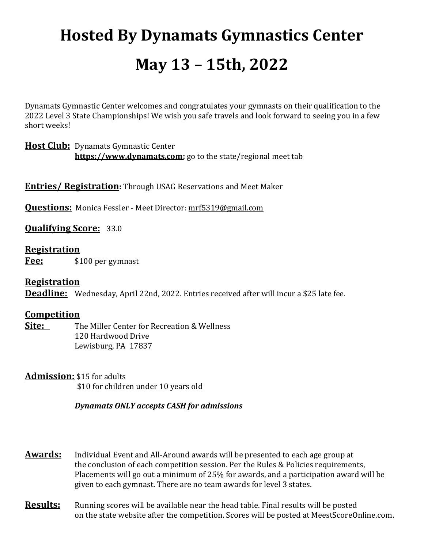# **Hosted By Dynamats Gymnastics Center May 13 – 15th, 2022**

Dynamats Gymnastic Center welcomes and congratulates your gymnasts on their qualification to the 2022 Level 3 State Championships! We wish you safe travels and look forward to seeing you in a few short weeks!

#### **Host Club:** Dynamats Gymnastic Center **[https://www.dynamats.com;](https://www.dynamats.com/)** go to the state/regional meet tab

**Entries/ Registration:** Through USAG Reservations and Meet Maker

**Questions:** Monica Fessler - Meet Director: [mrf5319@gmail.com](mailto:mrf5319@gmail.com)

**Qualifying Score:** 33.0

#### **Registration**

**Fee:** \$100 per gymnast

#### **Registration**

**Deadline:** Wednesday, April 22nd, 2022. Entries received after will incur a \$25 late fee.

#### **Competition**

**Site:** The Miller Center for Recreation & Wellness 120 Hardwood Drive Lewisburg, PA 17837

**Admission:** \$15 for adults \$10 for children under 10 years old

#### *Dynamats ONLY accepts CASH for admissions*

**Awards:** Individual Event and All-Around awards will be presented to each age group at the conclusion of each competition session. Per the Rules & Policies requirements, Placements will go out a minimum of 25% for awards, and a participation award will be given to each gymnast. There are no team awards for level 3 states.

**Results:** Running scores will be available near the head table. Final results will be posted on the state website after the competition. Scores will be posted at MeestScoreOnline.com.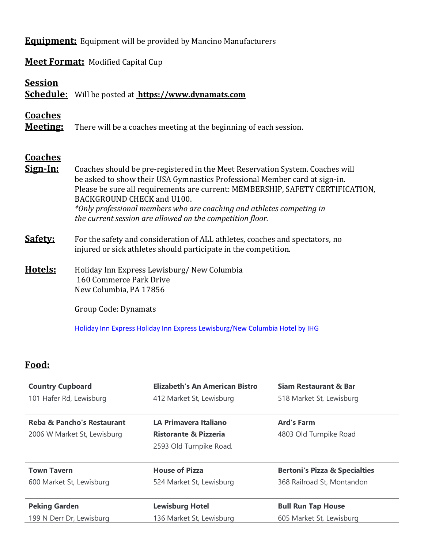**Equipment:** Equipment will be provided by Mancino Manufacturers

**Meet Format:** Modified Capital Cup

| <b>Session</b>                    | <b>Schedule:</b> Will be posted at <b>https://www.dynamats.com</b>                                                                                                                                                                                                                                                                                                                                                |  |  |  |  |  |  |
|-----------------------------------|-------------------------------------------------------------------------------------------------------------------------------------------------------------------------------------------------------------------------------------------------------------------------------------------------------------------------------------------------------------------------------------------------------------------|--|--|--|--|--|--|
| <b>Coaches</b><br><b>Meeting:</b> | There will be a coaches meeting at the beginning of each session.                                                                                                                                                                                                                                                                                                                                                 |  |  |  |  |  |  |
| <b>Coaches</b><br><u>Sign-In:</u> | Coaches should be pre-registered in the Meet Reservation System. Coaches will<br>be asked to show their USA Gymnastics Professional Member card at sign-in.<br>Please be sure all requirements are current: MEMBERSHIP, SAFETY CERTIFICATION,<br>BACKGROUND CHECK and U100.<br>*Only professional members who are coaching and athletes competing in<br>the current session are allowed on the competition floor. |  |  |  |  |  |  |
| <b>Safety:</b>                    | For the safety and consideration of ALL athletes, coaches and spectators, no<br>injured or sick athletes should participate in the competition.                                                                                                                                                                                                                                                                   |  |  |  |  |  |  |
| Hotels:                           | Holiday Inn Express Lewisburg/New Columbia<br>160 Commerce Park Drive<br>New Columbia, PA 17856                                                                                                                                                                                                                                                                                                                   |  |  |  |  |  |  |
|                                   | Group Code: Dynamats<br>Holiday Inn Express Holiday Inn Express Lewisburg/New Columbia Hotel by IHG                                                                                                                                                                                                                                                                                                               |  |  |  |  |  |  |

### **Food:**

| <b>Country Cupboard</b>               | <b>Elizabeth's An American Bistro</b> | <b>Siam Restaurant &amp; Bar</b><br>518 Market St, Lewisburg |  |  |  |
|---------------------------------------|---------------------------------------|--------------------------------------------------------------|--|--|--|
| 101 Hafer Rd, Lewisburg               | 412 Market St, Lewisburg              |                                                              |  |  |  |
| <b>Reba &amp; Pancho's Restaurant</b> | LA Primavera Italiano                 | <b>Ard's Farm</b><br>4803 Old Turnpike Road                  |  |  |  |
| 2006 W Market St, Lewisburg           | <b>Ristorante &amp; Pizzeria</b>      |                                                              |  |  |  |
|                                       | 2593 Old Turnpike Road.               |                                                              |  |  |  |
| <b>Town Tavern</b>                    | <b>House of Pizza</b>                 | <b>Bertoni's Pizza &amp; Specialties</b>                     |  |  |  |
| 600 Market St, Lewisburg              | 524 Market St, Lewisburg              | 368 Railroad St, Montandon                                   |  |  |  |
| <b>Peking Garden</b>                  | <b>Lewisburg Hotel</b>                | <b>Bull Run Tap House</b>                                    |  |  |  |
| 199 N Derr Dr, Lewisburg              | 136 Market St, Lewisburg              | 605 Market St, Lewisburg                                     |  |  |  |
|                                       |                                       |                                                              |  |  |  |